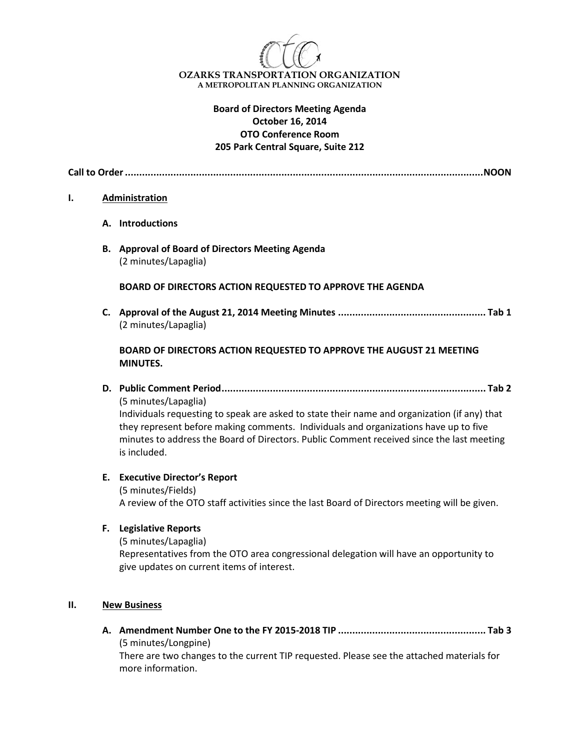

# **Board of Directors Meeting Agenda October 16, 2014 OTO Conference Room 205 Park Central Square, Suite 212**

**Call to Order..............................................................................................................................NOON**

#### **I. Administration**

- **A. Introductions**
- **B. Approval of Board of Directors Meeting Agenda** (2 minutes/Lapaglia)

#### **BOARD OF DIRECTORS ACTION REQUESTED TO APPROVE THE AGENDA**

**C. Approval of the August 21, 2014 Meeting Minutes .................................................... Tab 1** (2 minutes/Lapaglia)

## **BOARD OF DIRECTORS ACTION REQUESTED TO APPROVE THE AUGUST 21 MEETING MINUTES.**

**D. Public Comment Period............................................................................................. Tab 2** (5 minutes/Lapaglia)

Individuals requesting to speak are asked to state their name and organization (if any) that they represent before making comments. Individuals and organizations have up to five minutes to address the Board of Directors. Public Comment received since the last meeting is included.

## **E. Executive Director's Report**

(5 minutes/Fields) A review of the OTO staff activities since the last Board of Directors meeting will be given.

## **F. Legislative Reports**

(5 minutes/Lapaglia) Representatives from the OTO area congressional delegation will have an opportunity to give updates on current items of interest.

#### **II. New Business**

**A. Amendment Number One to the FY 2015-2018 TIP .................................................... Tab 3** (5 minutes/Longpine)

There are two changes to the current TIP requested. Please see the attached materials for more information.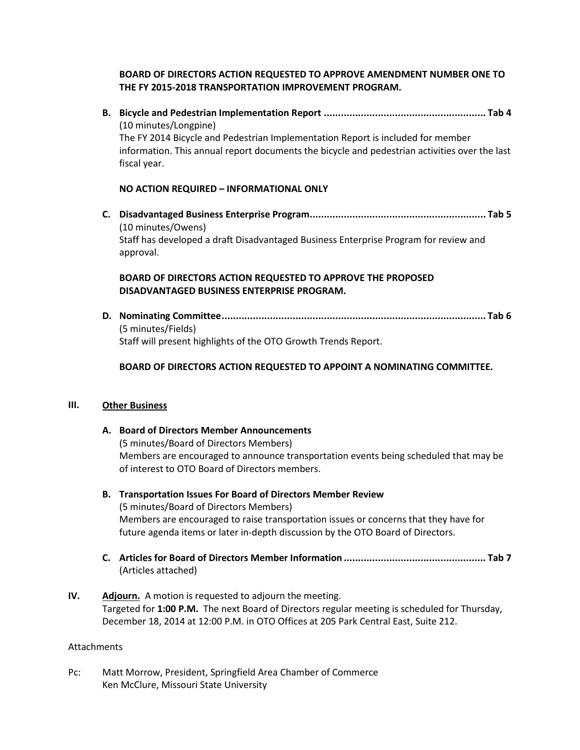## **BOARD OF DIRECTORS ACTION REQUESTED TO APPROVE AMENDMENT NUMBER ONE TO THE FY 2015-2018 TRANSPORTATION IMPROVEMENT PROGRAM.**

**B. Bicycle and Pedestrian Implementation Report ......................................................... Tab 4**  (10 minutes/Longpine) The FY 2014 Bicycle and Pedestrian Implementation Report is included for member information. This annual report documents the bicycle and pedestrian activities over the last fiscal year.

## **NO ACTION REQUIRED – INFORMATIONAL ONLY**

**C. Disadvantaged Business Enterprise Program.............................................................. Tab 5**  (10 minutes/Owens) Staff has developed a draft Disadvantaged Business Enterprise Program for review and approval.

## **BOARD OF DIRECTORS ACTION REQUESTED TO APPROVE THE PROPOSED DISADVANTAGED BUSINESS ENTERPRISE PROGRAM.**

**D. Nominating Committee............................................................................................. Tab 6**  (5 minutes/Fields) Staff will present highlights of the OTO Growth Trends Report.

## **BOARD OF DIRECTORS ACTION REQUESTED TO APPOINT A NOMINATING COMMITTEE.**

## **III. Other Business**

# **A. Board of Directors Member Announcements** (5 minutes/Board of Directors Members) Members are encouraged to announce transportation events being scheduled that may be of interest to OTO Board of Directors members.

# **B. Transportation Issues For Board of Directors Member Review**  (5 minutes/Board of Directors Members) Members are encouraged to raise transportation issues or concerns that they have for future agenda items or later in-depth discussion by the OTO Board of Directors.

- **C. Articles for Board of Directors Member Information .................................................. Tab 7**  (Articles attached)
- **IV. Adjourn.** A motion is requested to adjourn the meeting. Targeted for **1:00 P.M.** The next Board of Directors regular meeting is scheduled for Thursday, December 18, 2014 at 12:00 P.M. in OTO Offices at 205 Park Central East, Suite 212.

## Attachments

Pc: Matt Morrow, President, Springfield Area Chamber of Commerce Ken McClure, Missouri State University